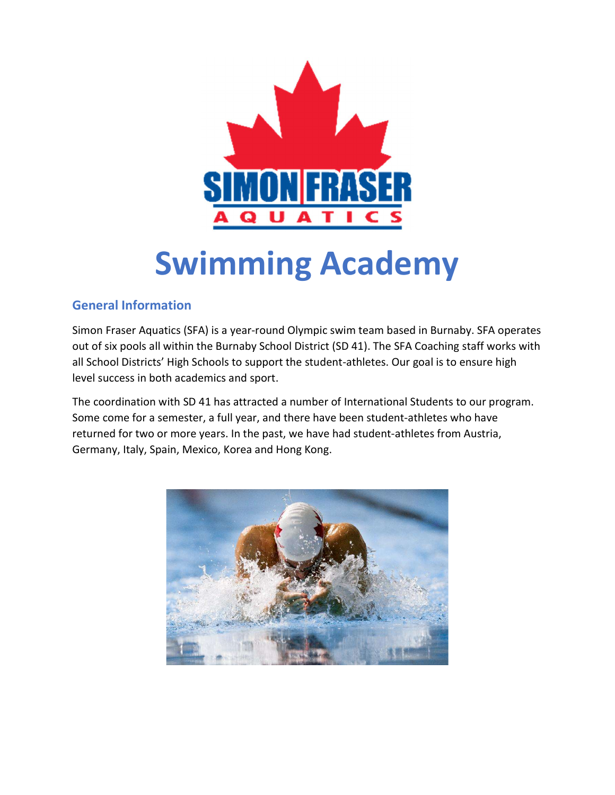

# Swimming Academy

# General Information

Simon Fraser Aquatics (SFA) is a year-round Olympic swim team based in Burnaby. SFA operates out of six pools all within the Burnaby School District (SD 41). The SFA Coaching staff works with all School Districts' High Schools to support the student-athletes. Our goal is to ensure high level success in both academics and sport.

The coordination with SD 41 has attracted a number of International Students to our program. Some come for a semester, a full year, and there have been student-athletes who have returned for two or more years. In the past, we have had student-athletes from Austria, Germany, Italy, Spain, Mexico, Korea and Hong Kong.

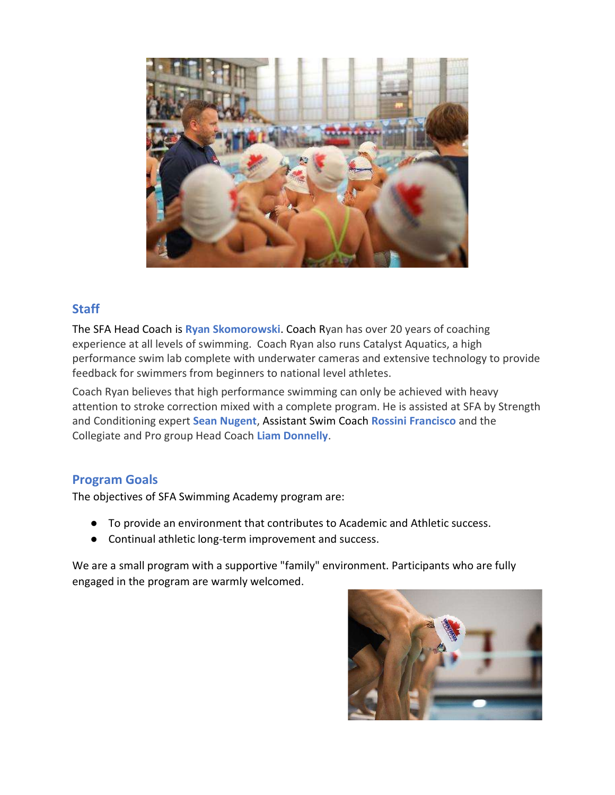

## **Staff**

The SFA Head Coach is Ryan Skomorowski. Coach Ryan has over 20 years of coaching experience at all levels of swimming. Coach Ryan also runs Catalyst Aquatics, a high performance swim lab complete with underwater cameras and extensive technology to provide feedback for swimmers from beginners to national level athletes.

Coach Ryan believes that high performance swimming can only be achieved with heavy attention to stroke correction mixed with a complete program. He is assisted at SFA by Strength and Conditioning expert Sean Nugent, Assistant Swim Coach Rossini Francisco and the Collegiate and Pro group Head Coach Liam Donnelly.

## Program Goals

The objectives of SFA Swimming Academy program are:

- To provide an environment that contributes to Academic and Athletic success.
- Continual athletic long-term improvement and success.

We are a small program with a supportive "family" environment. Participants who are fully engaged in the program are warmly welcomed.

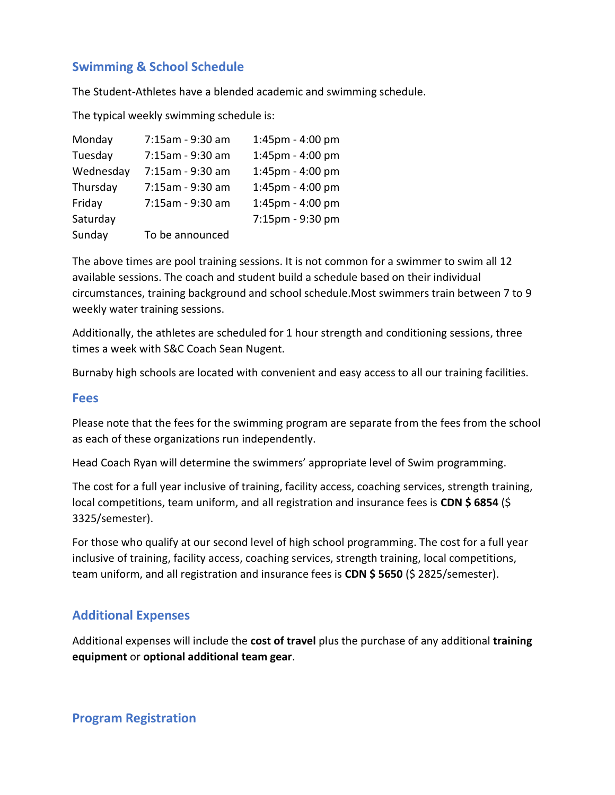## Swimming & School Schedule

The Student-Athletes have a blended academic and swimming schedule.

The typical weekly swimming schedule is:

| Monday    | 7:15am - 9:30 am | 1:45pm - 4:00 pm |
|-----------|------------------|------------------|
| Tuesday   | 7:15am - 9:30 am | 1:45pm - 4:00 pm |
| Wednesday | 7:15am - 9:30 am | 1:45pm - 4:00 pm |
| Thursday  | 7:15am - 9:30 am | 1:45pm - 4:00 pm |
| Friday    | 7:15am - 9:30 am | 1:45pm - 4:00 pm |
| Saturday  |                  | 7:15pm - 9:30 pm |
| Sunday    | To be announced  |                  |

The above times are pool training sessions. It is not common for a swimmer to swim all 12 available sessions. The coach and student build a schedule based on their individual circumstances, training background and school schedule.Most swimmers train between 7 to 9 weekly water training sessions.

Additionally, the athletes are scheduled for 1 hour strength and conditioning sessions, three times a week with S&C Coach Sean Nugent.

Burnaby high schools are located with convenient and easy access to all our training facilities.

#### Fees

Please note that the fees for the swimming program are separate from the fees from the school as each of these organizations run independently.

Head Coach Ryan will determine the swimmers' appropriate level of Swim programming.

The cost for a full year inclusive of training, facility access, coaching services, strength training, local competitions, team uniform, and all registration and insurance fees is CDN \$ 6854 (\$) 3325/semester).

For those who qualify at our second level of high school programming. The cost for a full year inclusive of training, facility access, coaching services, strength training, local competitions, team uniform, and all registration and insurance fees is CDN \$5650 (\$2825/semester).

## Additional Expenses

Additional expenses will include the cost of travel plus the purchase of any additional training equipment or optional additional team gear.